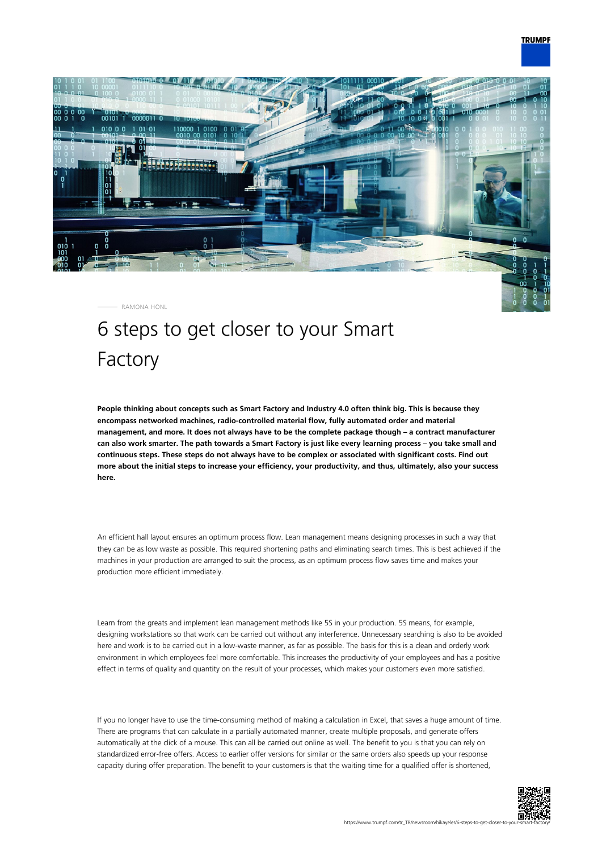

RAMONA HÖNL

## 6 steps to get closer to your Smart Factory

**People thinking about concepts such as Smart Factory and Industry 4.0 often think big. This is because they encompass networked machines, radio-controlled material flow, fully automated order and material management, and more. It does not always have to be the complete package though – a contract manufacturer can also work smarter. The path towards a Smart Factory is just like every learning process – you take small and continuous steps. These steps do not always have to be complex or associated with significant costs. Find out more about the initial steps to increase your efficiency, your productivity, and thus, ultimately, also your success here.**

An efficient hall layout ensures an optimum process flow. Lean management means designing processes in such a way that they can be as low waste as possible. This required shortening paths and eliminating search times. This is best achieved if the machines in your production are arranged to suit the process, as an optimum process flow saves time and makes your production more efficient immediately.

Learn from the greats and implement lean management methods like 5S in your production. 5S means, for example, designing workstations so that work can be carried out without any interference. Unnecessary searching is also to be avoided here and work is to be carried out in a low-waste manner, as far as possible. The basis for this is a clean and orderly work environment in which employees feel more comfortable. This increases the productivity of your employees and has a positive effect in terms of quality and quantity on the result of your processes, which makes your customers even more satisfied.

If you no longer have to use the time-consuming method of making a calculation in Excel, that saves a huge amount of time. There are programs that can calculate in a partially automated manner, create multiple proposals, and generate offers automatically at the click of a mouse. This can all be carried out online as well. The benefit to you is that you can rely on standardized error-free offers. Access to earlier offer versions for similar or the same orders also speeds up your response capacity during offer preparation. The benefit to your customers is that the waiting time for a qualified offer is shortened,